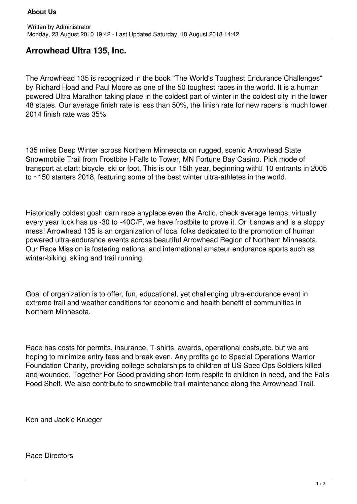## **Arrowhead Ultra 135, Inc.**

The Arrowhead 135 is recognized in the book "The World's Toughest Endurance Challenges" by Richard Hoad and Paul Moore as one of the 50 toughest races in the world. It is a human powered Ultra Marathon taking place in the coldest part of winter in the coldest city in the lower 48 states. Our average finish rate is less than 50%, the finish rate for new racers is much lower. 2014 finish rate was 35%.

135 miles Deep Winter across Northern Minnesota on rugged, scenic Arrowhead State Snowmobile Trail from Frostbite I-Falls to Tower, MN Fortune Bay Casino. Pick mode of transport at start: bicycle, ski or foot. This is our 15th year, beginning with  $\Box$  10 entrants in 2005 to ~150 starters 2018, featuring some of the best winter ultra-athletes in the world.

Historically coldest gosh darn race anyplace even the Arctic, check average temps, virtually every year luck has us -30 to -40C/F, we have frostbite to prove it. Or it snows and is a sloppy mess! Arrowhead 135 is an organization of local folks dedicated to the promotion of human powered ultra-endurance events across beautiful Arrowhead Region of Northern Minnesota. Our Race Mission is fostering national and international amateur endurance sports such as winter-biking, skiing and trail running.

Goal of organization is to offer, fun, educational, yet challenging ultra-endurance event in extreme trail and weather conditions for economic and health benefit of communities in Northern Minnesota.

Race has costs for permits, insurance, T-shirts, awards, operational costs,etc. but we are hoping to minimize entry fees and break even. Any profits go to Special Operations Warrior Foundation Charity, providing college scholarships to children of US Spec Ops Soldiers killed and wounded, Together For Good providing short-term respite to children in need, and the Falls Food Shelf. We also contribute to snowmobile trail maintenance along the Arrowhead Trail.

Ken and Jackie Krueger

Race Directors